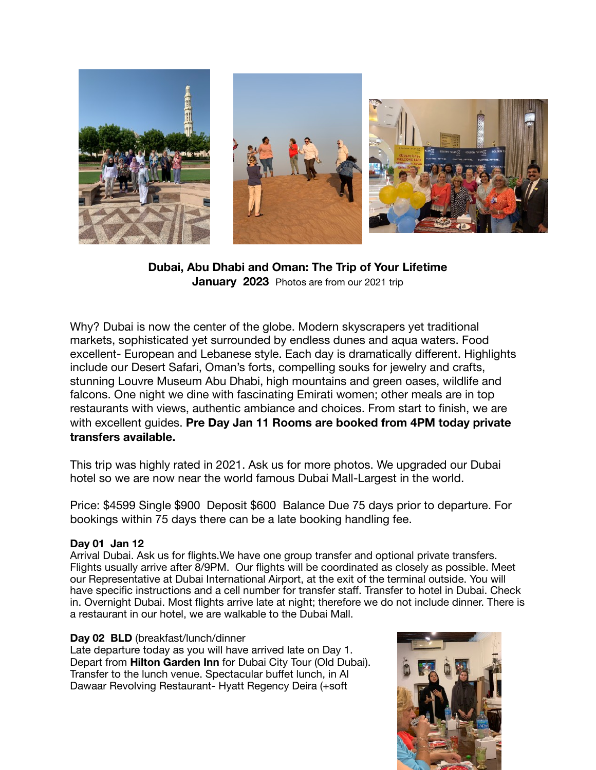

**Dubai, Abu Dhabi and Oman: The Trip of Your Lifetime January 2023** Photos are from our 2021 trip

Why? Dubai is now the center of the globe. Modern skyscrapers yet traditional markets, sophisticated yet surrounded by endless dunes and aqua waters. Food excellent- European and Lebanese style. Each day is dramatically different. Highlights include our Desert Safari, Oman's forts, compelling souks for jewelry and crafts, stunning Louvre Museum Abu Dhabi, high mountains and green oases, wildlife and falcons. One night we dine with fascinating Emirati women; other meals are in top restaurants with views, authentic ambiance and choices. From start to finish, we are with excellent guides. **Pre Day Jan 11 Rooms are booked from 4PM today private transfers available.** 

This trip was highly rated in 2021. Ask us for more photos. We upgraded our Dubai hotel so we are now near the world famous Dubai Mall-Largest in the world.

Price: \$4599 Single \$900 Deposit \$600 Balance Due 75 days prior to departure. For bookings within 75 days there can be a late booking handling fee.

## **Day 01 Jan 12**

Arrival Dubai. Ask us for flights.We have one group transfer and optional private transfers. Flights usually arrive after 8/9PM. Our flights will be coordinated as closely as possible. Meet our Representative at Dubai International Airport, at the exit of the terminal outside. You will have specific instructions and a cell number for transfer staff. Transfer to hotel in Dubai. Check in. Overnight Dubai. Most flights arrive late at night; therefore we do not include dinner. There is a restaurant in our hotel, we are walkable to the Dubai Mall.

## **Day 02 BLD** (breakfast/lunch/dinner

Late departure today as you will have arrived late on Day 1. Depart from **Hilton Garden Inn** for Dubai City Tour (Old Dubai). Transfer to the lunch venue. Spectacular buffet lunch, in Al Dawaar Revolving Restaurant- Hyatt Regency Deira (+soft

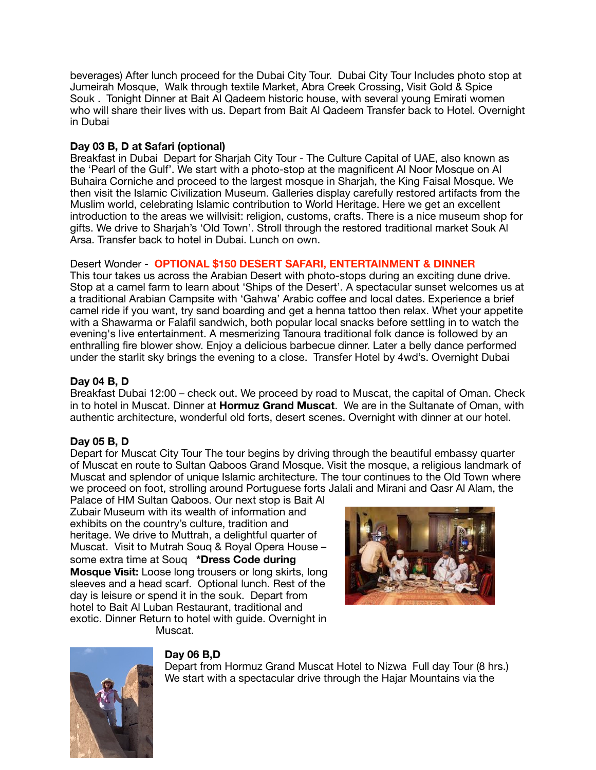beverages) After lunch proceed for the Dubai City Tour. Dubai City Tour Includes photo stop at Jumeirah Mosque, Walk through textile Market, Abra Creek Crossing, Visit Gold & Spice Souk . Tonight Dinner at Bait Al Qadeem historic house, with several young Emirati women who will share their lives with us. Depart from Bait Al Qadeem Transfer back to Hotel. Overnight in Dubai

## **Day 03 B, D at Safari (optional)**

Breakfast in Dubai Depart for Sharjah City Tour - The Culture Capital of UAE, also known as the 'Pearl of the Gulf'. We start with a photo-stop at the magnificent Al Noor Mosque on Al Buhaira Corniche and proceed to the largest mosque in Sharjah, the King Faisal Mosque. We then visit the Islamic Civilization Museum. Galleries display carefully restored artifacts from the Muslim world, celebrating Islamic contribution to World Heritage. Here we get an excellent introduction to the areas we willvisit: religion, customs, crafts. There is a nice museum shop for gifts. We drive to Sharjah's 'Old Town'. Stroll through the restored traditional market Souk Al Arsa. Transfer back to hotel in Dubai. Lunch on own.

# Desert Wonder - **OPTIONAL \$150 DESERT SAFARI, ENTERTAINMENT & DINNER**

This tour takes us across the Arabian Desert with photo-stops during an exciting dune drive. Stop at a camel farm to learn about 'Ships of the Desert'. A spectacular sunset welcomes us at a traditional Arabian Campsite with 'Gahwa' Arabic coffee and local dates. Experience a brief camel ride if you want, try sand boarding and get a henna tattoo then relax. Whet your appetite with a Shawarma or Falafil sandwich, both popular local snacks before settling in to watch the evening's live entertainment. A mesmerizing Tanoura traditional folk dance is followed by an enthralling fire blower show. Enjoy a delicious barbecue dinner. Later a belly dance performed under the starlit sky brings the evening to a close. Transfer Hotel by 4wd's. Overnight Dubai

# **Day 04 B, D**

Breakfast Dubai 12:00 – check out. We proceed by road to Muscat, the capital of Oman. Check in to hotel in Muscat. Dinner at **Hormuz Grand Muscat**. We are in the Sultanate of Oman, with authentic architecture, wonderful old forts, desert scenes. Overnight with dinner at our hotel.

## **Day 05 B, D**

Depart for Muscat City Tour The tour begins by driving through the beautiful embassy quarter of Muscat en route to Sultan Qaboos Grand Mosque. Visit the mosque, a religious landmark of Muscat and splendor of unique Islamic architecture. The tour continues to the Old Town where we proceed on foot, strolling around Portuguese forts Jalali and Mirani and Qasr Al Alam, the

Palace of HM Sultan Qaboos. Our next stop is Bait Al Zubair Museum with its wealth of information and exhibits on the country's culture, tradition and heritage. We drive to Muttrah, a delightful quarter of Muscat. Visit to Mutrah Souq & Royal Opera House – some extra time at Souq **\*Dress Code during Mosque Visit:** Loose long trousers or long skirts, long sleeves and a head scarf. Optional lunch. Rest of the day is leisure or spend it in the souk. Depart from hotel to Bait Al Luban Restaurant, traditional and exotic. Dinner Return to hotel with guide. Overnight in Muscat.





# **Day 06 B,D**

Depart from Hormuz Grand Muscat Hotel to Nizwa Full day Tour (8 hrs.) We start with a spectacular drive through the Hajar Mountains via the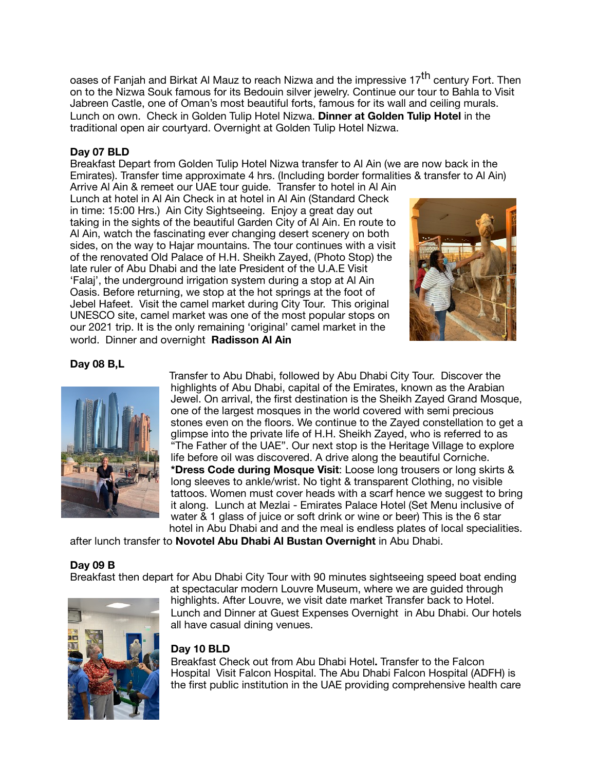oases of Fanjah and Birkat Al Mauz to reach Nizwa and the impressive 17<sup>th</sup> century Fort. Then on to the Nizwa Souk famous for its Bedouin silver jewelry. Continue our tour to Bahla to Visit Jabreen Castle, one of Oman's most beautiful forts, famous for its wall and ceiling murals. Lunch on own. Check in Golden Tulip Hotel Nizwa. **Dinner at Golden Tulip Hotel** in the traditional open air courtyard. Overnight at Golden Tulip Hotel Nizwa.

#### **Day 07 BLD**

Breakfast Depart from Golden Tulip Hotel Nizwa transfer to Al Ain (we are now back in the Emirates). Transfer time approximate 4 hrs. (Including border formalities & transfer to Al Ain) Arrive Al Ain & remeet our UAE tour guide. Transfer to hotel in Al Ain

Lunch at hotel in Al Ain Check in at hotel in Al Ain (Standard Check in time: 15:00 Hrs.) Ain City Sightseeing. Enjoy a great day out taking in the sights of the beautiful Garden City of Al Ain. En route to Al Ain, watch the fascinating ever changing desert scenery on both sides, on the way to Hajar mountains. The tour continues with a visit of the renovated Old Palace of H.H. Sheikh Zayed, (Photo Stop) the late ruler of Abu Dhabi and the late President of the U.A.E Visit 'Falaj', the underground irrigation system during a stop at Al Ain Oasis. Before returning, we stop at the hot springs at the foot of Jebel Hafeet. Visit the camel market during City Tour. This original UNESCO site, camel market was one of the most popular stops on our 2021 trip. It is the only remaining 'original' camel market in the world. Dinner and overnight **Radisson Al Ain** 



## **Day 08 B,L**



Transfer to Abu Dhabi, followed by Abu Dhabi City Tour. Discover the highlights of Abu Dhabi, capital of the Emirates, known as the Arabian Jewel. On arrival, the first destination is the Sheikh Zayed Grand Mosque, one of the largest mosques in the world covered with semi precious stones even on the floors. We continue to the Zayed constellation to get a glimpse into the private life of H.H. Sheikh Zayed, who is referred to as "The Father of the UAE". Our next stop is the Heritage Village to explore life before oil was discovered. A drive along the beautiful Corniche.

**\*Dress Code during Mosque Visit**: Loose long trousers or long skirts & long sleeves to ankle/wrist. No tight & transparent Clothing, no visible tattoos. Women must cover heads with a scarf hence we suggest to bring it along. Lunch at Mezlai - Emirates Palace Hotel (Set Menu inclusive of water & 1 glass of juice or soft drink or wine or beer) This is the 6 star hotel in Abu Dhabi and and the meal is endless plates of local specialities.

after lunch transfer to **Novotel Abu Dhabi Al Bustan Overnight** in Abu Dhabi.

#### **Day 09 B**

Breakfast then depart for Abu Dhabi City Tour with 90 minutes sightseeing speed boat ending



at spectacular modern Louvre Museum, where we are guided through highlights. After Louvre, we visit date market Transfer back to Hotel. Lunch and Dinner at Guest Expenses Overnight in Abu Dhabi. Our hotels all have casual dining venues.

## **Day 10 BLD**

Breakfast Check out from Abu Dhabi Hotel**.** Transfer to the Falcon Hospital Visit Falcon Hospital. The Abu Dhabi Falcon Hospital (ADFH) is the first public institution in the UAE providing comprehensive health care